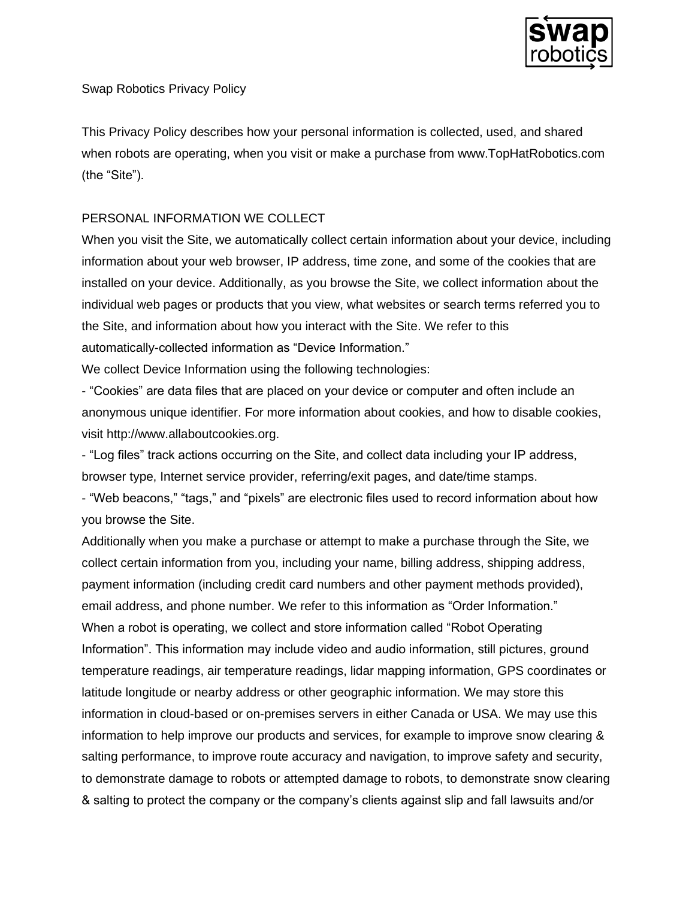

Swap Robotics Privacy Policy

This Privacy Policy describes how your personal information is collected, used, and shared when robots are operating, when you visit or make a purchase from www.TopHatRobotics.com (the "Site").

# PERSONAL INFORMATION WE COLLECT

When you visit the Site, we automatically collect certain information about your device, including information about your web browser, IP address, time zone, and some of the cookies that are installed on your device. Additionally, as you browse the Site, we collect information about the individual web pages or products that you view, what websites or search terms referred you to the Site, and information about how you interact with the Site. We refer to this automatically-collected information as "Device Information."

We collect Device Information using the following technologies:

- "Cookies" are data files that are placed on your device or computer and often include an anonymous unique identifier. For more information about cookies, and how to disable cookies, visit http://www.allaboutcookies.org.

- "Log files" track actions occurring on the Site, and collect data including your IP address, browser type, Internet service provider, referring/exit pages, and date/time stamps.

- "Web beacons," "tags," and "pixels" are electronic files used to record information about how you browse the Site.

Additionally when you make a purchase or attempt to make a purchase through the Site, we collect certain information from you, including your name, billing address, shipping address, payment information (including credit card numbers and other payment methods provided), email address, and phone number. We refer to this information as "Order Information." When a robot is operating, we collect and store information called "Robot Operating Information". This information may include video and audio information, still pictures, ground temperature readings, air temperature readings, lidar mapping information, GPS coordinates or latitude longitude or nearby address or other geographic information. We may store this information in cloud-based or on-premises servers in either Canada or USA. We may use this information to help improve our products and services, for example to improve snow clearing & salting performance, to improve route accuracy and navigation, to improve safety and security, to demonstrate damage to robots or attempted damage to robots, to demonstrate snow clearing & salting to protect the company or the company's clients against slip and fall lawsuits and/or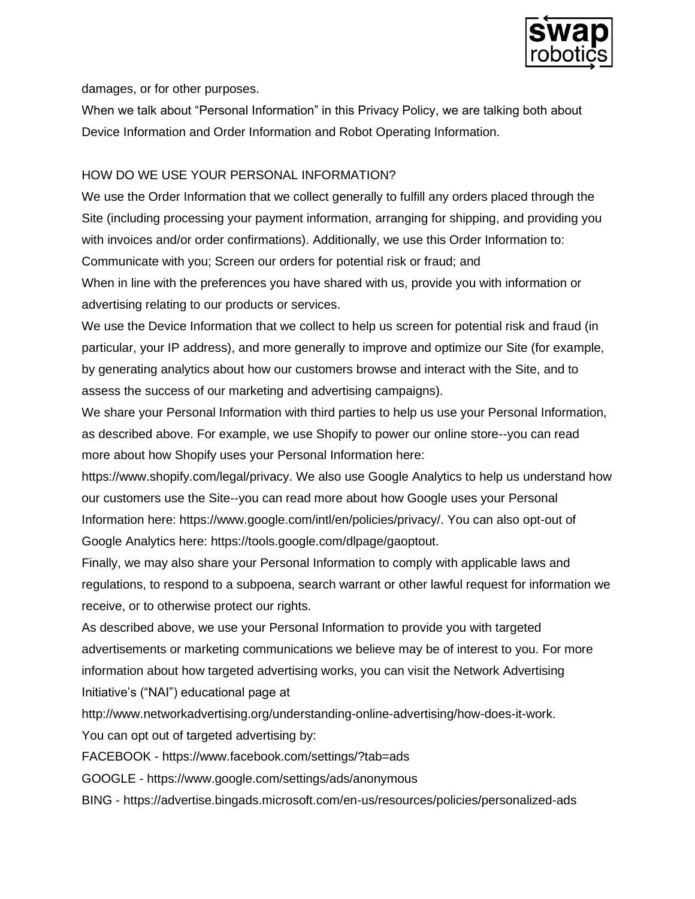

damages, or for other purposes.

When we talk about "Personal Information" in this Privacy Policy, we are talking both about Device Information and Order Information and Robot Operating Information.

## HOW DO WE USE YOUR PERSONAL INFORMATION?

We use the Order Information that we collect generally to fulfill any orders placed through the Site (including processing your payment information, arranging for shipping, and providing you with invoices and/or order confirmations). Additionally, we use this Order Information to: Communicate with you; Screen our orders for potential risk or fraud; and When in line with the preferences you have shared with us, provide you with information or

advertising relating to our products or services.

We use the Device Information that we collect to help us screen for potential risk and fraud (in particular, your IP address), and more generally to improve and optimize our Site (for example, by generating analytics about how our customers browse and interact with the Site, and to assess the success of our marketing and advertising campaigns).

We share your Personal Information with third parties to help us use your Personal Information, as described above. For example, we use Shopify to power our online store--you can read more about how Shopify uses your Personal Information here:

https://www.shopify.com/legal/privacy. We also use Google Analytics to help us understand how our customers use the Site--you can read more about how Google uses your Personal Information here: https://www.google.com/intl/en/policies/privacy/. You can also opt-out of Google Analytics here: https://tools.google.com/dlpage/gaoptout.

Finally, we may also share your Personal Information to comply with applicable laws and regulations, to respond to a subpoena, search warrant or other lawful request for information we receive, or to otherwise protect our rights.

As described above, we use your Personal Information to provide you with targeted advertisements or marketing communications we believe may be of interest to you. For more information about how targeted advertising works, you can visit the Network Advertising Initiative's ("NAI") educational page at

http://www.networkadvertising.org/understanding-online-advertising/how-does-it-work.

You can opt out of targeted advertising by:

FACEBOOK - https://www.facebook.com/settings/?tab=ads

GOOGLE - https://www.google.com/settings/ads/anonymous

BING - https://advertise.bingads.microsoft.com/en-us/resources/policies/personalized-ads